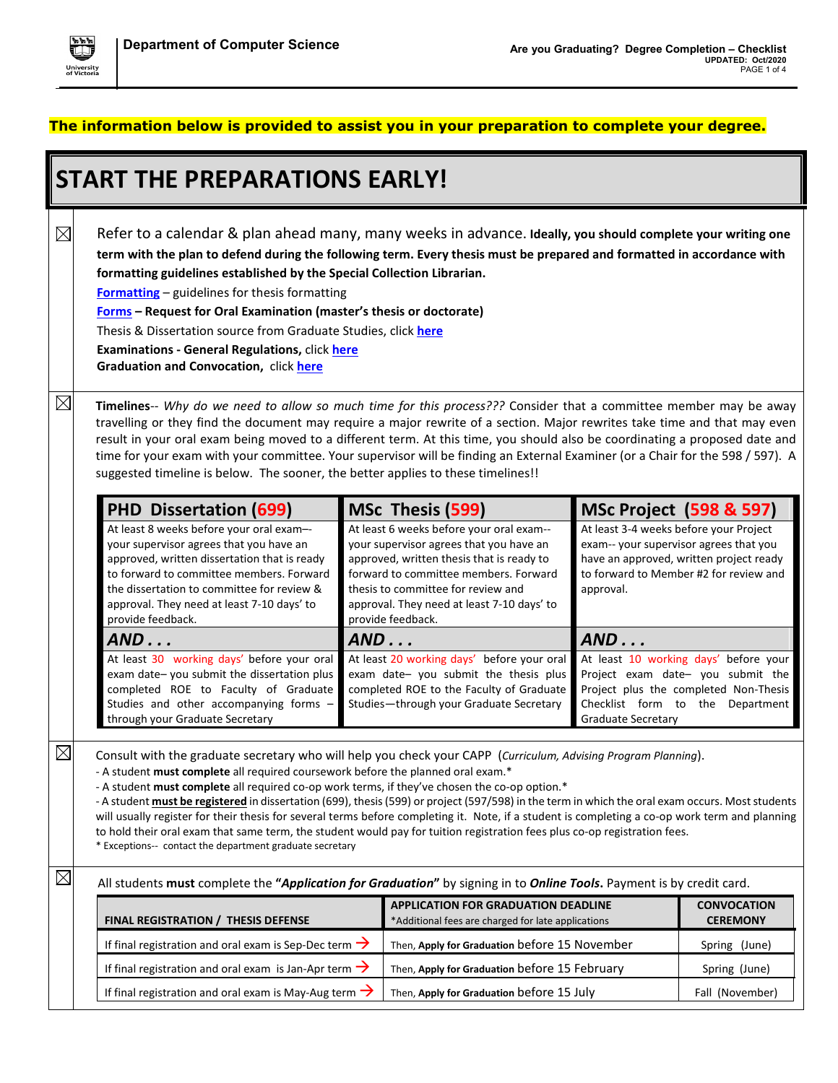

## **The information below is provided to assist you in your preparation to complete your degree.**

| <b>START THE PREPARATIONS EARLY!</b>                                                                                                                                                                                                                                                             |                                                                                                                                                                                                                                                                                                                                                                                                                                                                                                                                                                                                                                                                                                                                                                                                    |     |                                                                                                                                                                                                                                                                                    |                                                                                                                                                                                    |                                                                                                                                                        |  |  |
|--------------------------------------------------------------------------------------------------------------------------------------------------------------------------------------------------------------------------------------------------------------------------------------------------|----------------------------------------------------------------------------------------------------------------------------------------------------------------------------------------------------------------------------------------------------------------------------------------------------------------------------------------------------------------------------------------------------------------------------------------------------------------------------------------------------------------------------------------------------------------------------------------------------------------------------------------------------------------------------------------------------------------------------------------------------------------------------------------------------|-----|------------------------------------------------------------------------------------------------------------------------------------------------------------------------------------------------------------------------------------------------------------------------------------|------------------------------------------------------------------------------------------------------------------------------------------------------------------------------------|--------------------------------------------------------------------------------------------------------------------------------------------------------|--|--|
| $\boxtimes$                                                                                                                                                                                                                                                                                      | Refer to a calendar & plan ahead many, many weeks in advance. Ideally, you should complete your writing one<br>term with the plan to defend during the following term. Every thesis must be prepared and formatted in accordance with<br>formatting guidelines established by the Special Collection Librarian.<br><b>Formatting</b> – guidelines for thesis formatting<br>Forms - Request for Oral Examination (master's thesis or doctorate)<br>Thesis & Dissertation source from Graduate Studies, click here<br>Examinations - General Regulations, click here<br>Graduation and Convocation, click here                                                                                                                                                                                       |     |                                                                                                                                                                                                                                                                                    |                                                                                                                                                                                    |                                                                                                                                                        |  |  |
| $\boxtimes$                                                                                                                                                                                                                                                                                      | Timelines-- Why do we need to allow so much time for this process??? Consider that a committee member may be away<br>travelling or they find the document may require a major rewrite of a section. Major rewrites take time and that may even<br>result in your oral exam being moved to a different term. At this time, you should also be coordinating a proposed date and<br>time for your exam with your committee. Your supervisor will be finding an External Examiner (or a Chair for the 598 / 597). A<br>suggested timeline is below. The sooner, the better applies to these timelines!!                                                                                                                                                                                                |     |                                                                                                                                                                                                                                                                                    |                                                                                                                                                                                    |                                                                                                                                                        |  |  |
|                                                                                                                                                                                                                                                                                                  | <b>PHD Dissertation (699)</b>                                                                                                                                                                                                                                                                                                                                                                                                                                                                                                                                                                                                                                                                                                                                                                      |     | MSc Thesis (599)                                                                                                                                                                                                                                                                   | <b>MSc Project (598 &amp; 597)</b>                                                                                                                                                 |                                                                                                                                                        |  |  |
| At least 8 weeks before your oral exam--<br>your supervisor agrees that you have an<br>approved, written dissertation that is ready<br>to forward to committee members. Forward<br>the dissertation to committee for review &<br>approval. They need at least 7-10 days' to<br>provide feedback. |                                                                                                                                                                                                                                                                                                                                                                                                                                                                                                                                                                                                                                                                                                                                                                                                    |     | At least 6 weeks before your oral exam--<br>your supervisor agrees that you have an<br>approved, written thesis that is ready to<br>forward to committee members. Forward<br>thesis to committee for review and<br>approval. They need at least 7-10 days' to<br>provide feedback. | At least 3-4 weeks before your Project<br>exam-- your supervisor agrees that you<br>have an approved, written project ready<br>to forward to Member #2 for review and<br>approval. |                                                                                                                                                        |  |  |
|                                                                                                                                                                                                                                                                                                  | AND                                                                                                                                                                                                                                                                                                                                                                                                                                                                                                                                                                                                                                                                                                                                                                                                | AND |                                                                                                                                                                                                                                                                                    | AND                                                                                                                                                                                |                                                                                                                                                        |  |  |
|                                                                                                                                                                                                                                                                                                  | At least 30 working days' before your oral<br>exam date-you submit the dissertation plus<br>completed ROE to Faculty of Graduate<br>Studies and other accompanying forms -<br>through your Graduate Secretary                                                                                                                                                                                                                                                                                                                                                                                                                                                                                                                                                                                      |     | At least 20 working days' before your oral<br>exam date-you submit the thesis plus<br>completed ROE to the Faculty of Graduate<br>Studies-through your Graduate Secretary                                                                                                          | Graduate Secretary                                                                                                                                                                 | At least 10 working days' before your<br>Project exam date-you submit the<br>Project plus the completed Non-Thesis<br>Checklist form to the Department |  |  |
| $\boxtimes$                                                                                                                                                                                                                                                                                      | Consult with the graduate secretary who will help you check your CAPP (Curriculum, Advising Program Planning).<br>- A student must complete all required coursework before the planned oral exam.*<br>- A student must complete all required co-op work terms, if they've chosen the co-op option.*<br>- A student must be registered in dissertation (699), thesis (599) or project (597/598) in the term in which the oral exam occurs. Most students<br>will usually register for their thesis for several terms before completing it. Note, if a student is completing a co-op work term and planning<br>to hold their oral exam that same term, the student would pay for tuition registration fees plus co-op registration fees.<br>* Exceptions-- contact the department graduate secretary |     |                                                                                                                                                                                                                                                                                    |                                                                                                                                                                                    |                                                                                                                                                        |  |  |
| $\boxtimes$                                                                                                                                                                                                                                                                                      | All students must complete the "Application for Graduation" by signing in to Online Tools. Payment is by credit card.                                                                                                                                                                                                                                                                                                                                                                                                                                                                                                                                                                                                                                                                              |     |                                                                                                                                                                                                                                                                                    |                                                                                                                                                                                    |                                                                                                                                                        |  |  |
| FINAL REGISTRATION / THESIS DEFENSE                                                                                                                                                                                                                                                              |                                                                                                                                                                                                                                                                                                                                                                                                                                                                                                                                                                                                                                                                                                                                                                                                    |     | <b>APPLICATION FOR GRADUATION DEADLINE</b><br>*Additional fees are charged for late applications                                                                                                                                                                                   |                                                                                                                                                                                    | <b>CONVOCATION</b><br><b>CEREMONY</b>                                                                                                                  |  |  |
|                                                                                                                                                                                                                                                                                                  | If final registration and oral exam is Sep-Dec term $\rightarrow$                                                                                                                                                                                                                                                                                                                                                                                                                                                                                                                                                                                                                                                                                                                                  |     | Then, Apply for Graduation before 15 November                                                                                                                                                                                                                                      |                                                                                                                                                                                    | Spring (June)                                                                                                                                          |  |  |
|                                                                                                                                                                                                                                                                                                  | If final registration and oral exam is Jan-Apr term $\rightarrow$                                                                                                                                                                                                                                                                                                                                                                                                                                                                                                                                                                                                                                                                                                                                  |     | Then, Apply for Graduation before 15 February                                                                                                                                                                                                                                      |                                                                                                                                                                                    | Spring (June)                                                                                                                                          |  |  |
|                                                                                                                                                                                                                                                                                                  | If final registration and oral exam is May-Aug term $\rightarrow$                                                                                                                                                                                                                                                                                                                                                                                                                                                                                                                                                                                                                                                                                                                                  |     | Then, Apply for Graduation before 15 July                                                                                                                                                                                                                                          |                                                                                                                                                                                    | Fall (November)                                                                                                                                        |  |  |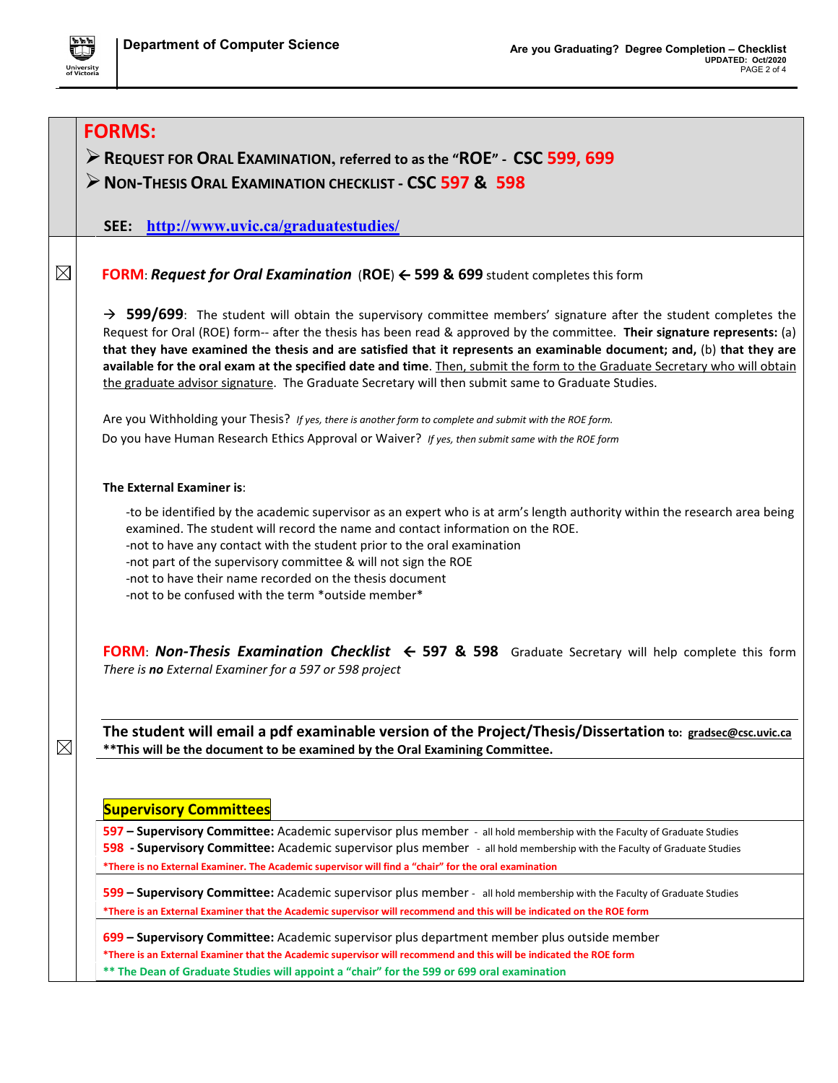

|             | <b>FORMS:</b>                                                                                                                                                                                                                                                                                                                                                                                                                                                                                                                                                                                                          |
|-------------|------------------------------------------------------------------------------------------------------------------------------------------------------------------------------------------------------------------------------------------------------------------------------------------------------------------------------------------------------------------------------------------------------------------------------------------------------------------------------------------------------------------------------------------------------------------------------------------------------------------------|
|             | REQUEST FOR ORAL EXAMINATION, referred to as the "ROE" - CSC 599, 699                                                                                                                                                                                                                                                                                                                                                                                                                                                                                                                                                  |
|             | > NON-THESIS ORAL EXAMINATION CHECKLIST - CSC 597 & 598                                                                                                                                                                                                                                                                                                                                                                                                                                                                                                                                                                |
|             |                                                                                                                                                                                                                                                                                                                                                                                                                                                                                                                                                                                                                        |
|             | SEE: http://www.uvic.ca/graduatestudies/                                                                                                                                                                                                                                                                                                                                                                                                                                                                                                                                                                               |
|             |                                                                                                                                                                                                                                                                                                                                                                                                                                                                                                                                                                                                                        |
| $\boxtimes$ | <b>FORM: Request for Oral Examination (ROE) <math>\leftarrow</math> 599 &amp; 699</b> student completes this form                                                                                                                                                                                                                                                                                                                                                                                                                                                                                                      |
|             | $\rightarrow$ 599/699: The student will obtain the supervisory committee members' signature after the student completes the<br>Request for Oral (ROE) form-- after the thesis has been read & approved by the committee. Their signature represents: (a)<br>that they have examined the thesis and are satisfied that it represents an examinable document; and, (b) that they are<br>available for the oral exam at the specified date and time. Then, submit the form to the Graduate Secretary who will obtain<br>the graduate advisor signature. The Graduate Secretary will then submit same to Graduate Studies. |
|             | Are you Withholding your Thesis? If yes, there is another form to complete and submit with the ROE form.                                                                                                                                                                                                                                                                                                                                                                                                                                                                                                               |
|             | Do you have Human Research Ethics Approval or Waiver? If yes, then submit same with the ROE form                                                                                                                                                                                                                                                                                                                                                                                                                                                                                                                       |
|             |                                                                                                                                                                                                                                                                                                                                                                                                                                                                                                                                                                                                                        |
|             | The External Examiner is:                                                                                                                                                                                                                                                                                                                                                                                                                                                                                                                                                                                              |
|             | -to be identified by the academic supervisor as an expert who is at arm's length authority within the research area being<br>examined. The student will record the name and contact information on the ROE.<br>-not to have any contact with the student prior to the oral examination<br>-not part of the supervisory committee & will not sign the ROE<br>-not to have their name recorded on the thesis document<br>-not to be confused with the term *outside member*                                                                                                                                              |
|             | FORM: Non-Thesis Examination Checklist $\leftarrow$ 597 & 598 Graduate Secretary will help complete this form<br>There is no External Examiner for a 597 or 598 project                                                                                                                                                                                                                                                                                                                                                                                                                                                |
|             | The student will email a pdf examinable version of the Project/Thesis/Dissertation to: gradsec@csc.uvic.ca                                                                                                                                                                                                                                                                                                                                                                                                                                                                                                             |
| $\boxtimes$ | ** This will be the document to be examined by the Oral Examining Committee.                                                                                                                                                                                                                                                                                                                                                                                                                                                                                                                                           |
|             |                                                                                                                                                                                                                                                                                                                                                                                                                                                                                                                                                                                                                        |
|             | <b>Supervisory Committees</b>                                                                                                                                                                                                                                                                                                                                                                                                                                                                                                                                                                                          |
|             | 597 - Supervisory Committee: Academic supervisor plus member - all hold membership with the Faculty of Graduate Studies                                                                                                                                                                                                                                                                                                                                                                                                                                                                                                |
|             | 598 - Supervisory Committee: Academic supervisor plus member - all hold membership with the Faculty of Graduate Studies                                                                                                                                                                                                                                                                                                                                                                                                                                                                                                |
|             | *There is no External Examiner. The Academic supervisor will find a "chair" for the oral examination                                                                                                                                                                                                                                                                                                                                                                                                                                                                                                                   |
|             | 599 - Supervisory Committee: Academic supervisor plus member - all hold membership with the Faculty of Graduate Studies                                                                                                                                                                                                                                                                                                                                                                                                                                                                                                |
|             | *There is an External Examiner that the Academic supervisor will recommend and this will be indicated on the ROE form                                                                                                                                                                                                                                                                                                                                                                                                                                                                                                  |
|             | 699 - Supervisory Committee: Academic supervisor plus department member plus outside member                                                                                                                                                                                                                                                                                                                                                                                                                                                                                                                            |
|             | *There is an External Examiner that the Academic supervisor will recommend and this will be indicated the ROE form<br>** The Dean of Graduate Studies will appoint a "chair" for the 599 or 699 oral examination                                                                                                                                                                                                                                                                                                                                                                                                       |
|             |                                                                                                                                                                                                                                                                                                                                                                                                                                                                                                                                                                                                                        |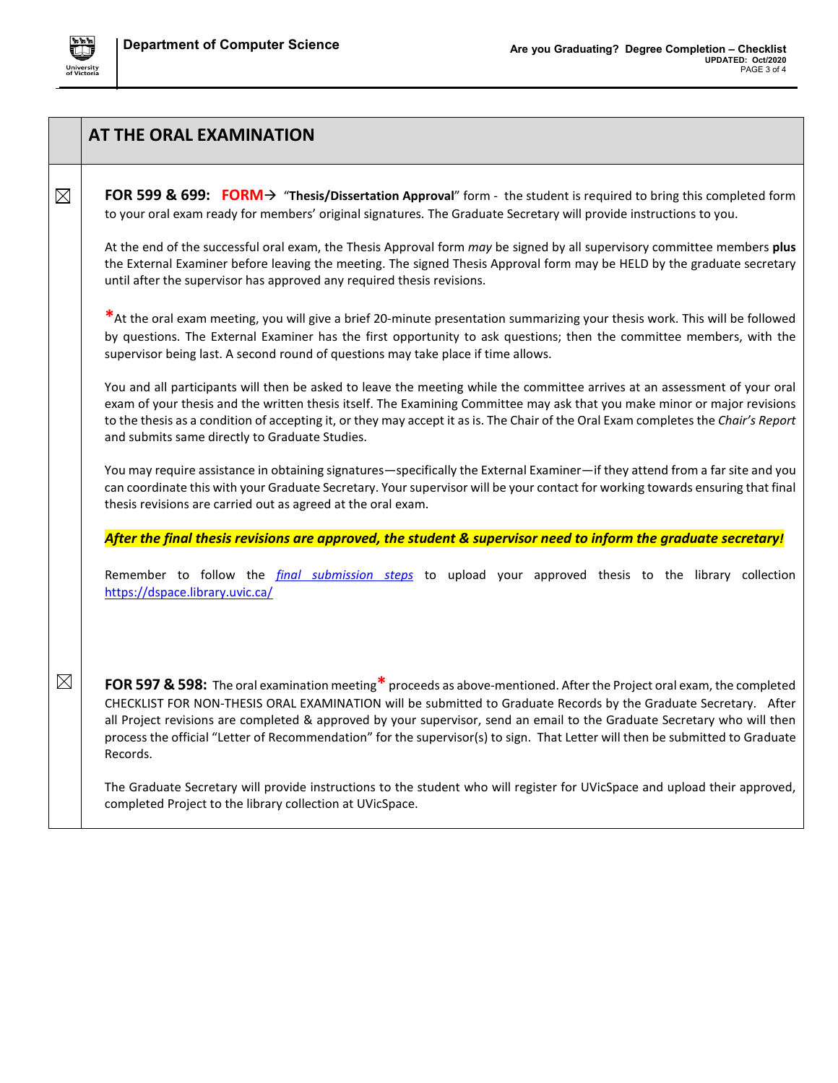

|             | AT THE ORAL EXAMINATION                                                                                                                                                                                                                                                                                                                                                                                                                                                                                           |
|-------------|-------------------------------------------------------------------------------------------------------------------------------------------------------------------------------------------------------------------------------------------------------------------------------------------------------------------------------------------------------------------------------------------------------------------------------------------------------------------------------------------------------------------|
| $\boxtimes$ | FOR 599 & 699: FORM $\rightarrow$ "Thesis/Dissertation Approval" form - the student is required to bring this completed form<br>to your oral exam ready for members' original signatures. The Graduate Secretary will provide instructions to you.                                                                                                                                                                                                                                                                |
|             | At the end of the successful oral exam, the Thesis Approval form may be signed by all supervisory committee members plus<br>the External Examiner before leaving the meeting. The signed Thesis Approval form may be HELD by the graduate secretary<br>until after the supervisor has approved any required thesis revisions.                                                                                                                                                                                     |
|             | *At the oral exam meeting, you will give a brief 20-minute presentation summarizing your thesis work. This will be followed<br>by questions. The External Examiner has the first opportunity to ask questions; then the committee members, with the<br>supervisor being last. A second round of questions may take place if time allows.                                                                                                                                                                          |
|             | You and all participants will then be asked to leave the meeting while the committee arrives at an assessment of your oral<br>exam of your thesis and the written thesis itself. The Examining Committee may ask that you make minor or major revisions<br>to the thesis as a condition of accepting it, or they may accept it as is. The Chair of the Oral Exam completes the Chair's Report<br>and submits same directly to Graduate Studies.                                                                   |
|             | You may require assistance in obtaining signatures—specifically the External Examiner—if they attend from a far site and you<br>can coordinate this with your Graduate Secretary. Your supervisor will be your contact for working towards ensuring that final<br>thesis revisions are carried out as agreed at the oral exam.                                                                                                                                                                                    |
|             | After the final thesis revisions are approved, the student & supervisor need to inform the graduate secretary!                                                                                                                                                                                                                                                                                                                                                                                                    |
|             | Remember to follow the <i>final submission steps</i> to upload your approved thesis to the library collection<br>https://dspace.library.uvic.ca/                                                                                                                                                                                                                                                                                                                                                                  |
|             |                                                                                                                                                                                                                                                                                                                                                                                                                                                                                                                   |
| $\boxtimes$ | FOR 597 & 598: The oral examination meeting* proceeds as above-mentioned. After the Project oral exam, the completed<br>CHECKLIST FOR NON-THESIS ORAL EXAMINATION will be submitted to Graduate Records by the Graduate Secretary. After<br>all Project revisions are completed & approved by your supervisor, send an email to the Graduate Secretary who will then<br>process the official "Letter of Recommendation" for the supervisor(s) to sign. That Letter will then be submitted to Graduate<br>Records. |
|             | The Graduate Secretary will provide instructions to the student who will register for UVicSpace and upload their approved,<br>completed Project to the library collection at UVicSpace.                                                                                                                                                                                                                                                                                                                           |
|             |                                                                                                                                                                                                                                                                                                                                                                                                                                                                                                                   |